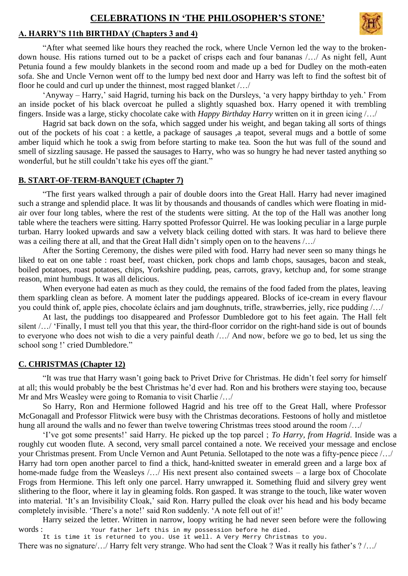# **CELEBRATIONS IN 'THE PHILOSOPHER'S STONE'**

## **A. HARRY'S 11th BIRTHDAY (Chapters 3 and 4)**

"After what seemed like hours they reached the rock, where Uncle Vernon led the way to the brokendown house. His rations turned out to be a packet of crisps each and four bananas /…/ As night fell, Aunt Petunia found a few mouldy blankets in the second room and made up a bed for Dudley on the moth-eaten sofa. She and Uncle Vernon went off to the lumpy bed next door and Harry was left to find the softest bit of floor he could and curl up under the thinnest, most ragged blanket /…/

'Anyway – Harry,' said Hagrid, turning his back on the Dursleys, 'a very happy birthday to yeh.' From an inside pocket of his black overcoat he pulled a slightly squashed box. Harry opened it with trembling fingers. Inside was a large, sticky chocolate cake with *Happy Birthday Harry* written on it in green icing /…/

Hagrid sat back down on the sofa, which sagged under his weight, and began taking all sorts of things out of the pockets of his coat : a kettle, a package of sausages ,a teapot, several mugs and a bottle of some amber liquid which he took a swig from before starting to make tea. Soon the hut was full of the sound and smell of sizzling sausage. He passed the sausages to Harry, who was so hungry he had never tasted anything so wonderful, but he still couldn't take his eyes off the giant."

### **B. START-OF-TERM-BANQUET (Chapter 7)**

"The first years walked through a pair of double doors into the Great Hall. Harry had never imagined such a strange and splendid place. It was lit by thousands and thousands of candles which were floating in midair over four long tables, where the rest of the students were sitting. At the top of the Hall was another long table where the teachers were sitting. Harry spotted Professor Quirrel. He was looking peculiar in a large purple turban. Harry looked upwards and saw a velvety black ceiling dotted with stars. It was hard to believe there was a ceiling there at all, and that the Great Hall didn't simply open on to the heavens /…/

After the Sorting Ceremony, the dishes were piled with food. Harry had never seen so many things he liked to eat on one table : roast beef, roast chicken, pork chops and lamb chops, sausages, bacon and steak, boiled potatoes, roast potatoes, chips, Yorkshire pudding, peas, carrots, gravy, ketchup and, for some strange reason, mint humbugs. It was all delicious.

When everyone had eaten as much as they could, the remains of the food faded from the plates, leaving them sparkling clean as before. A moment later the puddings appeared. Blocks of ice-cream in every flavour you could think of, apple pies, chocolate éclairs and jam doughnuts, trifle, strawberries, jelly, rice pudding /…/

At last, the puddings too disappeared and Professor Dumbledore got to his feet again. The Hall felt silent /.../ 'Finally, I must tell you that this year, the third-floor corridor on the right-hand side is out of bounds to everyone who does not wish to die a very painful death /…/ And now, before we go to bed, let us sing the school song !' cried Dumbledore."

### **C. CHRISTMAS (Chapter 12)**

"It was true that Harry wasn't going back to Privet Drive for Christmas. He didn't feel sorry for himself at all; this would probably be the best Christmas he'd ever had. Ron and his brothers were staying too, because Mr and Mrs Weasley were going to Romania to visit Charlie /…/

So Harry, Ron and Hermione followed Hagrid and his tree off to the Great Hall, where Professor McGonagall and Professor Flitwick were busy with the Christmas decorations. Festoons of holly and mistletoe hung all around the walls and no fewer than twelve towering Christmas trees stood around the room /…/

'I've got some presents!' said Harry. He picked up the top parcel ; *To Harry, from Hagrid*. Inside was a roughly cut wooden flute. A second, very small parcel contained a note. We received your message and enclose your Christmas present. From Uncle Vernon and Aunt Petunia. Sellotaped to the note was a fifty-pence piece /…/ Harry had torn open another parcel to find a thick, hand-knitted sweater in emerald green and a large box af home-made fudge from the Weasleys /.../ His next present also contained sweets – a large box of Chocolate Frogs from Hermione. This left only one parcel. Harry unwrapped it. Something fluid and silvery grey went slithering to the floor, where it lay in gleaming folds. Ron gasped. It was strange to the touch, like water woven into material. 'It's an Invisibility Cloak,' said Ron. Harry pulled the cloak over his head and his body became completely invisible. 'There's a note!' said Ron suddenly. 'A note fell out of it!'

Harry seized the letter. Written in narrow, loopy writing he had never seen before were the following words : Your father left this in my possession before he died.

It is time it is returned to you. Use it well. A Very Merry Christmas to you. There was no signature/…/ Harry felt very strange. Who had sent the Cloak ? Was it really his father's ? /…/